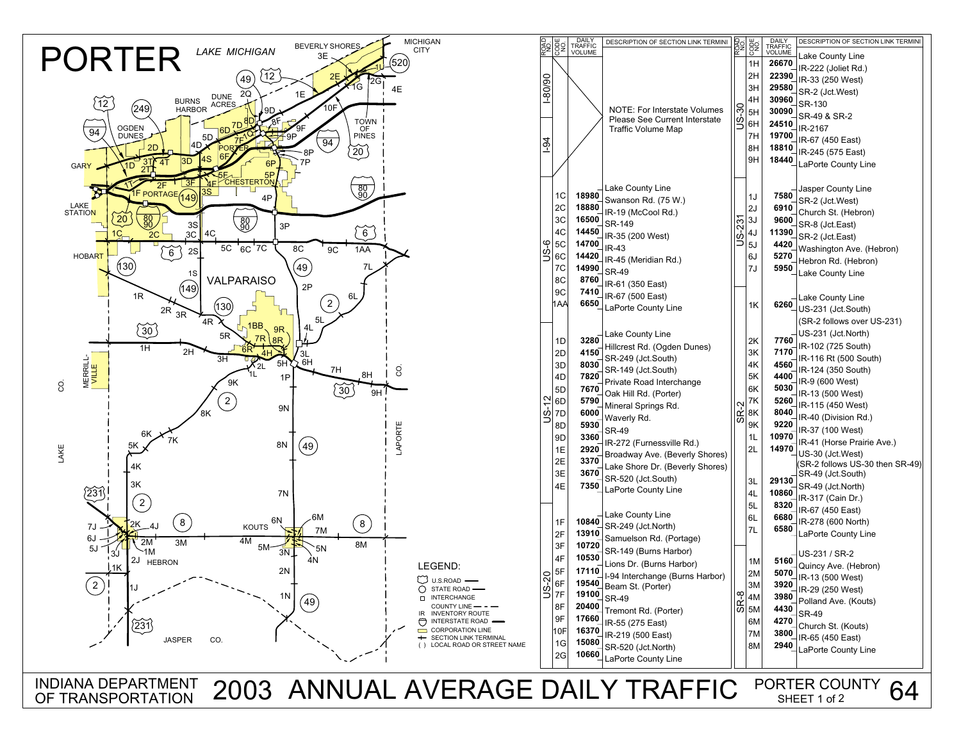